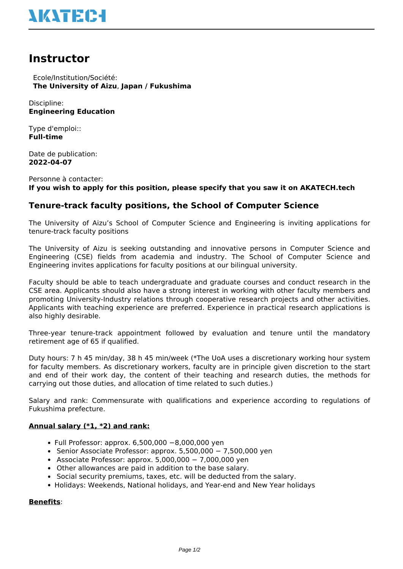

# **Instructor**

 Ecole/Institution/Société: **The University of Aizu**, **Japan / Fukushima**

Discipline: **Engineering Education**

Type d'emploi:: **Full-time**

Date de publication: **2022-04-07**

Personne à contacter: **If you wish to apply for this position, please specify that you saw it on AKATECH.tech**

# **Tenure-track faculty positions, the School of Computer Science**

The University of Aizu's School of Computer Science and Engineering is inviting applications for tenure-track faculty positions

The University of Aizu is seeking outstanding and innovative persons in Computer Science and Engineering (CSE) fields from academia and industry. The School of Computer Science and Engineering invites applications for faculty positions at our bilingual university.

Faculty should be able to teach undergraduate and graduate courses and conduct research in the CSE area. Applicants should also have a strong interest in working with other faculty members and promoting University-Industry relations through cooperative research projects and other activities. Applicants with teaching experience are preferred. Experience in practical research applications is also highly desirable.

Three-year tenure-track appointment followed by evaluation and tenure until the mandatory retirement age of 65 if qualified.

Duty hours: 7 h 45 min/day, 38 h 45 min/week (\*The UoA uses a discretionary working hour system for faculty members. As discretionary workers, faculty are in principle given discretion to the start and end of their work day, the content of their teaching and research duties, the methods for carrying out those duties, and allocation of time related to such duties.)

Salary and rank: Commensurate with qualifications and experience according to regulations of Fukushima prefecture.

## **Annual salary (\*1, \*2) and rank:**

- Full Professor: approx. 6,500,000 −8,000,000 yen
- Senior Associate Professor: approx. 5,500,000 − 7,500,000 yen
- Associate Professor: approx. 5,000,000 − 7,000,000 yen
- Other allowances are paid in addition to the base salary.
- Social security premiums, taxes, etc. will be deducted from the salary.
- Holidays: Weekends, National holidays, and Year-end and New Year holidays

#### **Benefits**: